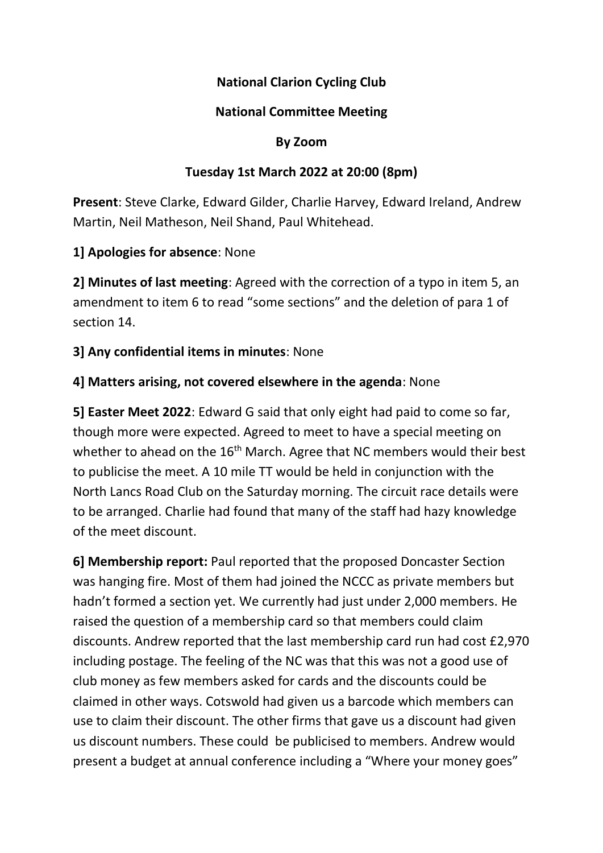### **National Clarion Cycling Club**

#### **National Committee Meeting**

#### **By Zoom**

#### **Tuesday 1st March 2022 at 20:00 (8pm)**

**Present**: Steve Clarke, Edward Gilder, Charlie Harvey, Edward Ireland, Andrew Martin, Neil Matheson, Neil Shand, Paul Whitehead.

### **1] Apologies for absence**: None

**2] Minutes of last meeting**: Agreed with the correction of a typo in item 5, an amendment to item 6 to read "some sections" and the deletion of para 1 of section 14.

# **3] Any confidential items in minutes**: None

# **4] Matters arising, not covered elsewhere in the agenda**: None

**5] Easter Meet 2022**: Edward G said that only eight had paid to come so far, though more were expected. Agreed to meet to have a special meeting on whether to ahead on the 16<sup>th</sup> March. Agree that NC members would their best to publicise the meet. A 10 mile TT would be held in conjunction with the North Lancs Road Club on the Saturday morning. The circuit race details were to be arranged. Charlie had found that many of the staff had hazy knowledge of the meet discount.

**6] Membership report:** Paul reported that the proposed Doncaster Section was hanging fire. Most of them had joined the NCCC as private members but hadn't formed a section yet. We currently had just under 2,000 members. He raised the question of a membership card so that members could claim discounts. Andrew reported that the last membership card run had cost £2,970 including postage. The feeling of the NC was that this was not a good use of club money as few members asked for cards and the discounts could be claimed in other ways. Cotswold had given us a barcode which members can use to claim their discount. The other firms that gave us a discount had given us discount numbers. These could be publicised to members. Andrew would present a budget at annual conference including a "Where your money goes"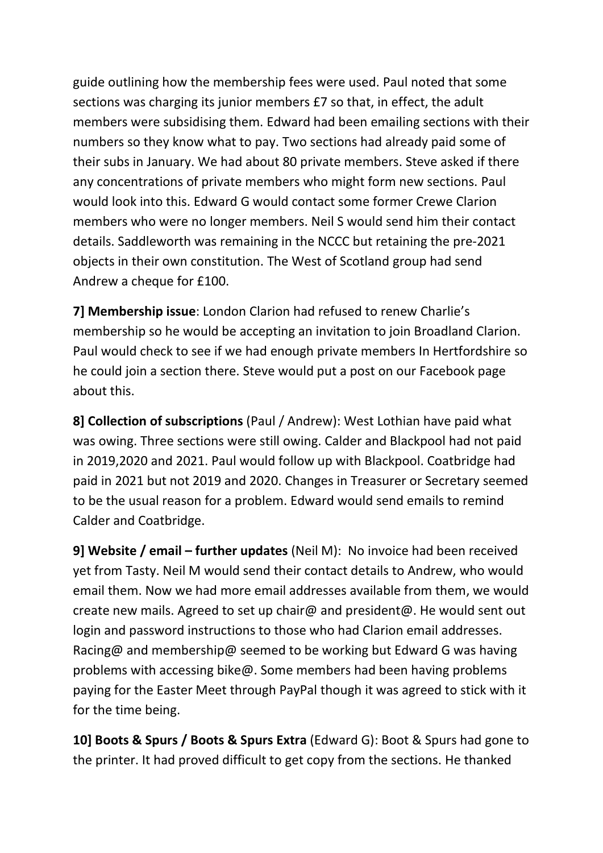guide outlining how the membership fees were used. Paul noted that some sections was charging its junior members £7 so that, in effect, the adult members were subsidising them. Edward had been emailing sections with their numbers so they know what to pay. Two sections had already paid some of their subs in January. We had about 80 private members. Steve asked if there any concentrations of private members who might form new sections. Paul would look into this. Edward G would contact some former Crewe Clarion members who were no longer members. Neil S would send him their contact details. Saddleworth was remaining in the NCCC but retaining the pre-2021 objects in their own constitution. The West of Scotland group had send Andrew a cheque for £100.

**7] Membership issue**: London Clarion had refused to renew Charlie's membership so he would be accepting an invitation to join Broadland Clarion. Paul would check to see if we had enough private members In Hertfordshire so he could join a section there. Steve would put a post on our Facebook page about this.

**8] Collection of subscriptions** (Paul / Andrew): West Lothian have paid what was owing. Three sections were still owing. Calder and Blackpool had not paid in 2019,2020 and 2021. Paul would follow up with Blackpool. Coatbridge had paid in 2021 but not 2019 and 2020. Changes in Treasurer or Secretary seemed to be the usual reason for a problem. Edward would send emails to remind Calder and Coatbridge.

**9] Website / email – further updates** (Neil M): No invoice had been received yet from Tasty. Neil M would send their contact details to Andrew, who would email them. Now we had more email addresses available from them, we would create new mails. Agreed to set up chair@ and president@. He would sent out login and password instructions to those who had Clarion email addresses. Racing@ and membership@ seemed to be working but Edward G was having problems with accessing bike@. Some members had been having problems paying for the Easter Meet through PayPal though it was agreed to stick with it for the time being.

**10] Boots & Spurs / Boots & Spurs Extra** (Edward G): Boot & Spurs had gone to the printer. It had proved difficult to get copy from the sections. He thanked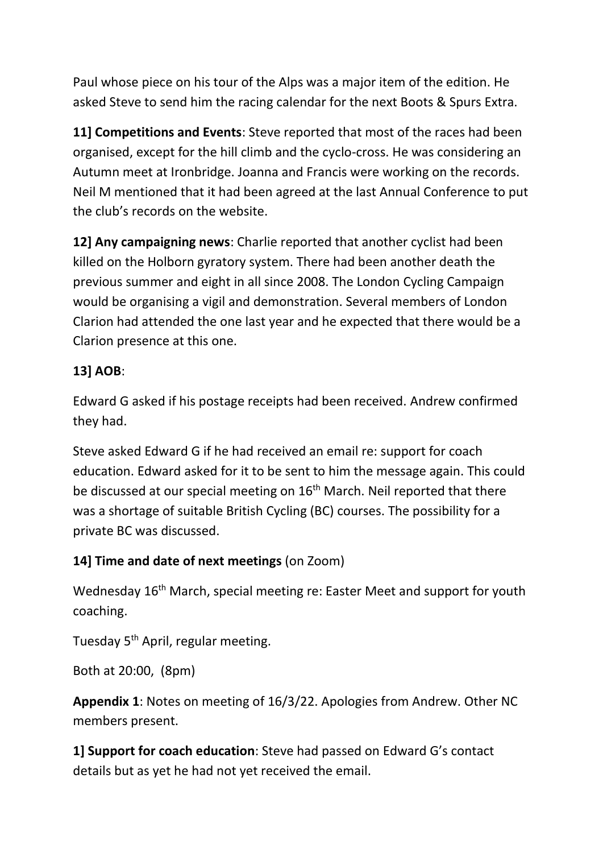Paul whose piece on his tour of the Alps was a major item of the edition. He asked Steve to send him the racing calendar for the next Boots & Spurs Extra.

**11] Competitions and Events**: Steve reported that most of the races had been organised, except for the hill climb and the cyclo-cross. He was considering an Autumn meet at Ironbridge. Joanna and Francis were working on the records. Neil M mentioned that it had been agreed at the last Annual Conference to put the club's records on the website.

**12] Any campaigning news**: Charlie reported that another cyclist had been killed on the Holborn gyratory system. There had been another death the previous summer and eight in all since 2008. The London Cycling Campaign would be organising a vigil and demonstration. Several members of London Clarion had attended the one last year and he expected that there would be a Clarion presence at this one.

# **13] AOB**:

Edward G asked if his postage receipts had been received. Andrew confirmed they had.

Steve asked Edward G if he had received an email re: support for coach education. Edward asked for it to be sent to him the message again. This could be discussed at our special meeting on 16<sup>th</sup> March. Neil reported that there was a shortage of suitable British Cycling (BC) courses. The possibility for a private BC was discussed.

### **14] Time and date of next meetings** (on Zoom)

Wednesday 16<sup>th</sup> March, special meeting re: Easter Meet and support for youth coaching.

Tuesday 5<sup>th</sup> April, regular meeting.

Both at 20:00, (8pm)

**Appendix 1**: Notes on meeting of 16/3/22. Apologies from Andrew. Other NC members present.

**1] Support for coach education**: Steve had passed on Edward G's contact details but as yet he had not yet received the email.